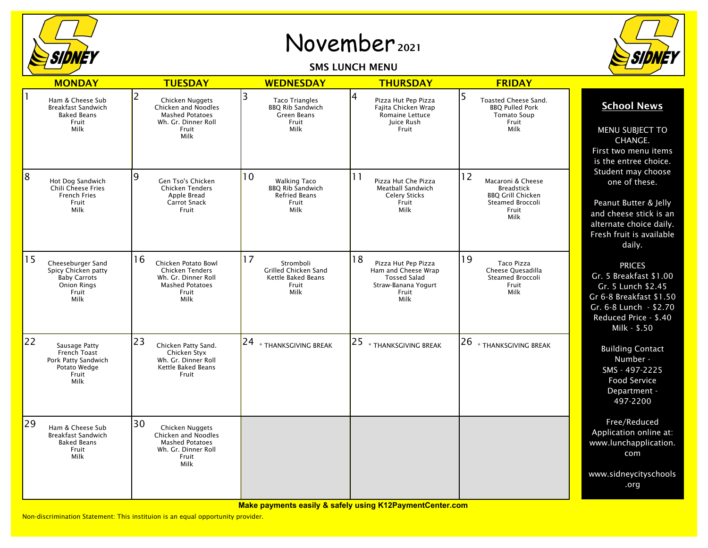

## November <sup>2021</sup>

SMS LUNCH MENU



|    | <b>MONDAY</b>                                                                                          | <b>TUESDAY</b>                                                                                                             | <b>WEDNESDAY</b>                                                                              | <b>THURSDAY</b>                                                                                                 | <b>FRIDAY</b>                                                                                                 |                                                                                                                                                             |
|----|--------------------------------------------------------------------------------------------------------|----------------------------------------------------------------------------------------------------------------------------|-----------------------------------------------------------------------------------------------|-----------------------------------------------------------------------------------------------------------------|---------------------------------------------------------------------------------------------------------------|-------------------------------------------------------------------------------------------------------------------------------------------------------------|
|    |                                                                                                        |                                                                                                                            |                                                                                               |                                                                                                                 |                                                                                                               |                                                                                                                                                             |
|    | Ham & Cheese Sub<br><b>Breakfast Sandwich</b><br><b>Baked Beans</b><br>Fruit<br>Milk                   | $\overline{2}$<br>Chicken Nuggets<br>Chicken and Noodles<br><b>Mashed Potatoes</b><br>Wh. Gr. Dinner Roll<br>Fruit<br>Milk | 3<br><b>Taco Triangles</b><br><b>BBQ Rib Sandwich</b><br><b>Green Beans</b><br>Fruit<br>Milk  | 4<br>Pizza Hut Pep Pizza<br>Fajita Chicken Wrap<br>Romaine Lettuce<br>Juice Rush<br>Fruit                       | 5<br>Toasted Cheese Sand.<br><b>BBO Pulled Pork</b><br><b>Tomato Soup</b><br>Fruit<br>Milk                    | <b>School News</b><br>MENU SUBJECT TO<br>CHANGE.<br>First two menu items<br>is the entree choice.                                                           |
| 8  | Hot Dog Sandwich<br>Chili Cheese Fries<br><b>French Fries</b><br>Fruit<br>Milk                         | 9<br>Gen Tso's Chicken<br><b>Chicken Tenders</b><br>Apple Bread<br><b>Carrot Snack</b><br>Fruit                            | 10<br><b>Walking Taco</b><br><b>BBQ Rib Sandwich</b><br><b>Refried Beans</b><br>Fruit<br>Milk | 11<br>Pizza Hut Che Pizza<br>Meatball Sandwich<br><b>Celery Sticks</b><br>Fruit<br>Milk                         | 12<br>Macaroni & Cheese<br><b>Breadstick</b><br><b>BBQ Grill Chicken</b><br>Steamed Broccoli<br>Fruit<br>Milk | Student may choose<br>one of these.<br>Peanut Butter & Jelly<br>and cheese stick is an<br>alternate choice daily.<br>Fresh fruit is available<br>daily.     |
| 15 | Cheeseburger Sand<br>Spicy Chicken patty<br><b>Baby Carrots</b><br><b>Onion Rings</b><br>Fruit<br>Milk | 16<br>Chicken Potato Bowl<br><b>Chicken Tenders</b><br>Wh. Gr. Dinner Roll<br><b>Mashed Potatoes</b><br>Fruit<br>Milk      | 17<br>Stromboli<br>Grilled Chicken Sand<br>Kettle Baked Beans<br>Fruit<br>Milk                | 18<br>Pizza Hut Pep Pizza<br>Ham and Cheese Wrap<br><b>Tossed Salad</b><br>Straw-Banana Yogurt<br>Fruit<br>Milk | 19<br>Taco Pizza<br>Cheese Quesadilla<br>Steamed Broccoli<br>Fruit<br>Milk                                    | <b>PRICES</b><br>Gr. 5 Breakfast \$1.00<br>Gr. 5 Lunch \$2.45<br>Gr 6-8 Breakfast \$1.50<br>Gr. 6-8 Lunch - \$2.70<br>Reduced Price - \$.40<br>Milk - \$.50 |
| 22 | Sausage Patty<br><b>French Toast</b><br>Pork Patty Sandwich<br>Potato Wedge<br>Fruit<br>Milk           | 23<br>Chicken Patty Sand.<br>Chicken Styx<br>Wh. Gr. Dinner Roll<br>Kettle Baked Beans<br>Fruit                            | $ 24 _{\ast}$ thanksgiving break                                                              | 25<br>* THANKSGIVING BREAK                                                                                      | 26<br>* THANKSGIVING BREAK                                                                                    | <b>Building Contact</b><br>Number -<br>SMS - 497-2225<br>Food Service<br>Department -<br>497-2200                                                           |
| 29 | Ham & Cheese Sub<br><b>Breakfast Sandwich</b><br><b>Baked Beans</b><br>Fruit<br>Milk                   | 30<br>Chicken Nuggets<br><b>Chicken and Noodles</b><br><b>Mashed Potatoes</b><br>Wh. Gr. Dinner Roll<br>Fruit<br>Milk      |                                                                                               |                                                                                                                 |                                                                                                               | Free/Reduced<br>Application online at:<br>www.lunchapplication.<br>com                                                                                      |
|    |                                                                                                        |                                                                                                                            |                                                                                               |                                                                                                                 |                                                                                                               | www.sidneycityschools<br>.org                                                                                                                               |

**Make payments easily & safely using K12PaymentCenter.com**

Non-discrimination Statement: This instituion is an equal opportunity provider.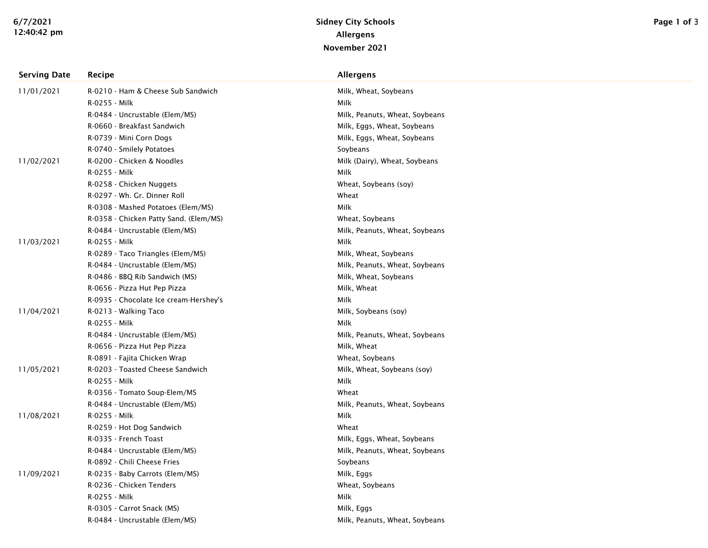| <b>Serving Date</b> | Recipe                                 | <b>Allergens</b>               |
|---------------------|----------------------------------------|--------------------------------|
| 11/01/2021          | R-0210 - Ham & Cheese Sub Sandwich     | Milk, Wheat, Soybeans          |
|                     | R-0255 - Milk                          | Milk                           |
|                     | R-0484 - Uncrustable (Elem/MS)         | Milk, Peanuts, Wheat, Soybeans |
|                     | R-0660 - Breakfast Sandwich            | Milk, Eggs, Wheat, Soybeans    |
|                     | R-0739 - Mini Corn Dogs                | Milk, Eggs, Wheat, Soybeans    |
|                     | R-0740 - Smilely Potatoes              | Soybeans                       |
| 11/02/2021          | R-0200 - Chicken & Noodles             | Milk (Dairy), Wheat, Soybeans  |
|                     | R-0255 - Milk                          | Milk                           |
|                     | R-0258 - Chicken Nuggets               | Wheat, Soybeans (soy)          |
|                     | R-0297 - Wh. Gr. Dinner Roll           | Wheat                          |
|                     | R-0308 - Mashed Potatoes (Elem/MS)     | Milk                           |
|                     | R-0358 - Chicken Patty Sand. (Elem/MS) | Wheat, Soybeans                |
|                     | R-0484 - Uncrustable (Elem/MS)         | Milk, Peanuts, Wheat, Soybeans |
| 11/03/2021          | R-0255 - Milk                          | Milk                           |
|                     | R-0289 - Taco Triangles (Elem/MS)      | Milk, Wheat, Soybeans          |
|                     | R-0484 - Uncrustable (Elem/MS)         | Milk, Peanuts, Wheat, Soybeans |
|                     | R-0486 - BBQ Rib Sandwich (MS)         | Milk, Wheat, Soybeans          |
|                     | R-0656 - Pizza Hut Pep Pizza           | Milk, Wheat                    |
|                     | R-0935 - Chocolate Ice cream-Hershey's | Milk                           |
| 11/04/2021          | R-0213 - Walking Taco                  | Milk, Soybeans (soy)           |
|                     | R-0255 - Milk                          | Milk                           |
|                     | R-0484 - Uncrustable (Elem/MS)         | Milk, Peanuts, Wheat, Soybeans |
|                     | R-0656 - Pizza Hut Pep Pizza           | Milk, Wheat                    |
|                     | R-0891 - Fajita Chicken Wrap           | Wheat, Soybeans                |
| 11/05/2021          | R-0203 - Toasted Cheese Sandwich       | Milk, Wheat, Soybeans (soy)    |
|                     | R-0255 - Milk                          | Milk                           |
|                     | R-0356 - Tomato Soup-Elem/MS           | Wheat                          |
|                     | R-0484 - Uncrustable (Elem/MS)         | Milk, Peanuts, Wheat, Soybeans |
| 11/08/2021          | R-0255 - Milk                          | Milk                           |
|                     | R-0259 - Hot Dog Sandwich              | Wheat                          |
|                     | R-0335 - French Toast                  | Milk, Eggs, Wheat, Soybeans    |
|                     | R-0484 - Uncrustable (Elem/MS)         | Milk, Peanuts, Wheat, Soybeans |
|                     | R-0892 - Chili Cheese Fries            | Soybeans                       |
| 11/09/2021          | R-0235 - Baby Carrots (Elem/MS)        | Milk, Eggs                     |
|                     | R-0236 - Chicken Tenders               | Wheat, Soybeans                |
|                     | R-0255 - Milk                          | Milk                           |
|                     | R-0305 - Carrot Snack (MS)             | Milk, Eggs                     |
|                     | R-0484 - Uncrustable (Elem/MS)         | Milk, Peanuts, Wheat, Soybeans |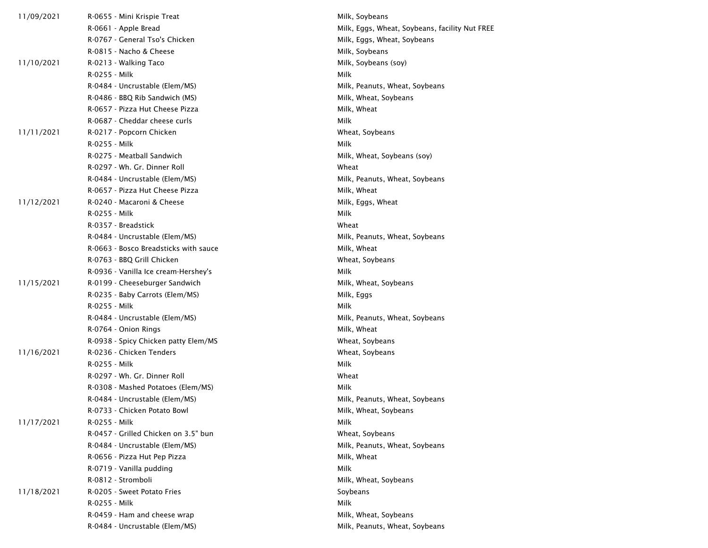| 11/09/2021 | R-0655 - Mini Krispie Treat           | Milk, Soybeans                                 |
|------------|---------------------------------------|------------------------------------------------|
|            | R-0661 - Apple Bread                  | Milk, Eggs, Wheat, Soybeans, facility Nut FREE |
|            | R-0767 - General Tso's Chicken        | Milk, Eggs, Wheat, Soybeans                    |
|            | R-0815 - Nacho & Cheese               | Milk, Soybeans                                 |
| 11/10/2021 | R-0213 - Walking Taco                 | Milk, Soybeans (soy)                           |
|            | R-0255 - Milk                         | Milk                                           |
|            | R-0484 - Uncrustable (Elem/MS)        | Milk, Peanuts, Wheat, Soybeans                 |
|            | R-0486 - BBQ Rib Sandwich (MS)        | Milk, Wheat, Soybeans                          |
|            | R-0657 - Pizza Hut Cheese Pizza       | Milk, Wheat                                    |
|            | R-0687 - Cheddar cheese curls         | Milk                                           |
| 11/11/2021 | R-0217 - Popcorn Chicken              | Wheat, Soybeans                                |
|            | R-0255 - Milk                         | Milk                                           |
|            | R-0275 - Meatball Sandwich            | Milk, Wheat, Soybeans (soy)                    |
|            | R-0297 - Wh. Gr. Dinner Roll          | Wheat                                          |
|            | R-0484 - Uncrustable (Elem/MS)        | Milk, Peanuts, Wheat, Soybeans                 |
|            | R-0657 - Pizza Hut Cheese Pizza       | Milk, Wheat                                    |
| 11/12/2021 | R-0240 - Macaroni & Cheese            | Milk, Eggs, Wheat                              |
|            | R-0255 - Milk                         | Milk                                           |
|            | R-0357 - Breadstick                   | Wheat                                          |
|            | R-0484 - Uncrustable (Elem/MS)        | Milk, Peanuts, Wheat, Soybeans                 |
|            | R-0663 - Bosco Breadsticks with sauce | Milk, Wheat                                    |
|            | R-0763 - BBQ Grill Chicken            | Wheat, Soybeans                                |
|            | R-0936 - Vanilla Ice cream-Hershey's  | Milk                                           |
| 11/15/2021 | R-0199 - Cheeseburger Sandwich        | Milk, Wheat, Soybeans                          |
|            | R-0235 - Baby Carrots (Elem/MS)       | Milk, Eggs                                     |
|            | R-0255 - Milk                         | Milk                                           |
|            | R-0484 - Uncrustable (Elem/MS)        | Milk, Peanuts, Wheat, Soybeans                 |
|            | R-0764 - Onion Rings                  | Milk, Wheat                                    |
|            | R-0938 - Spicy Chicken patty Elem/MS  | Wheat, Soybeans                                |
| 11/16/2021 | R-0236 - Chicken Tenders              | Wheat, Soybeans                                |
|            | R-0255 - Milk                         | Milk                                           |
|            | R-0297 - Wh. Gr. Dinner Roll          | Wheat                                          |
|            | R-0308 - Mashed Potatoes (Elem/MS)    | Milk                                           |
|            | R-0484 - Uncrustable (Elem/MS)        | Milk, Peanuts, Wheat, Soybeans                 |
|            | R-0733 - Chicken Potato Bowl          | Milk, Wheat, Soybeans                          |
| 11/17/2021 | R-0255 - Milk                         | Milk                                           |
|            | R-0457 - Grilled Chicken on 3.5" bun  | Wheat, Soybeans                                |
|            | R-0484 - Uncrustable (Elem/MS)        | Milk, Peanuts, Wheat, Soybeans                 |
|            | R-0656 - Pizza Hut Pep Pizza          | Milk, Wheat                                    |
|            | R-0719 - Vanilla pudding              | Milk                                           |
|            | R-0812 - Stromboli                    | Milk, Wheat, Soybeans                          |
| 11/18/2021 | R-0205 - Sweet Potato Fries           | Soybeans                                       |
|            | R-0255 - Milk                         | Milk                                           |
|            | R-0459 - Ham and cheese wrap          | Milk, Wheat, Soybeans                          |
|            | R-0484 - Uncrustable (Elem/MS)        | Milk, Peanuts, Wheat, Soybeans                 |